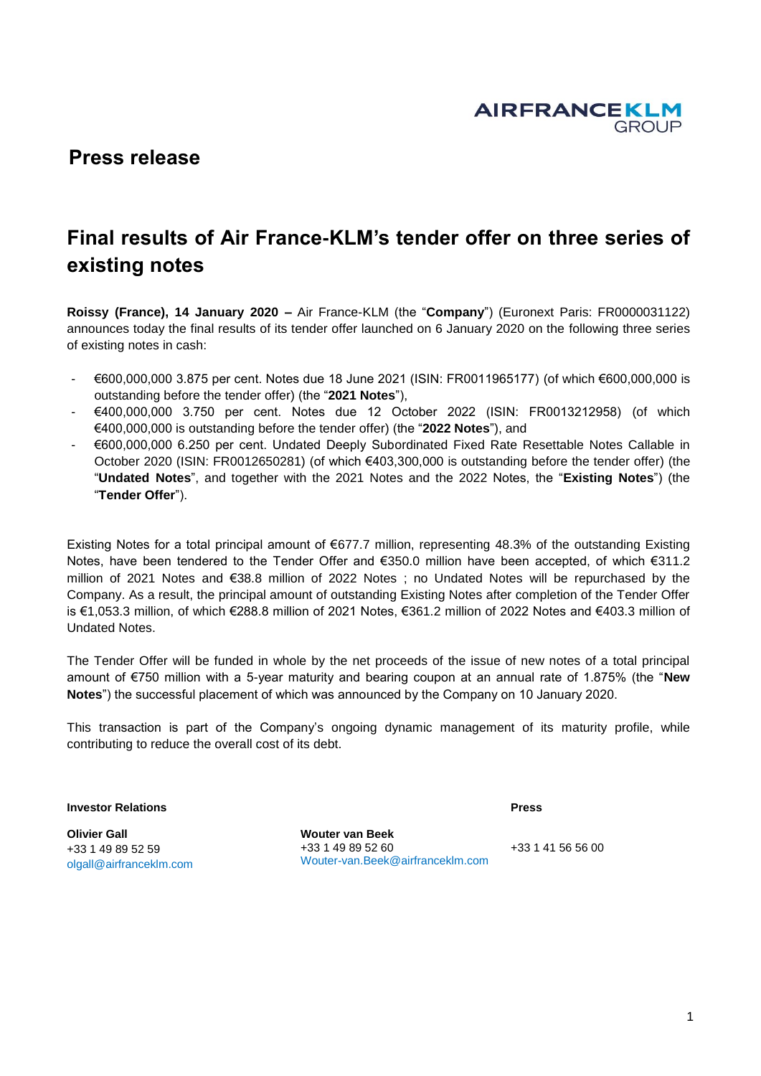**AIRFRANCEKLM GROUP** 

## **Press release**

# **Final results of Air France-KLM's tender offer on three series of existing notes**

**Roissy (France), 14 January 2020 –** Air France-KLM (the "**Company**") (Euronext Paris: FR0000031122) announces today the final results of its tender offer launched on 6 January 2020 on the following three series of existing notes in cash:

- €600,000,000 3.875 per cent. Notes due 18 June 2021 (ISIN: FR0011965177) (of which €600,000,000 is outstanding before the tender offer) (the "**2021 Notes**"),
- €400,000,000 3.750 per cent. Notes due 12 October 2022 (ISIN: FR0013212958) (of which €400,000,000 is outstanding before the tender offer) (the "**2022 Notes**"), and
- €600,000,000 6.250 per cent. Undated Deeply Subordinated Fixed Rate Resettable Notes Callable in October 2020 (ISIN: FR0012650281) (of which €403,300,000 is outstanding before the tender offer) (the "**Undated Notes**", and together with the 2021 Notes and the 2022 Notes, the "**Existing Notes**") (the "**Tender Offer**").

Existing Notes for a total principal amount of €677.7 million, representing 48.3% of the outstanding Existing Notes, have been tendered to the Tender Offer and €350.0 million have been accepted, of which €311.2 million of 2021 Notes and €38.8 million of 2022 Notes ; no Undated Notes will be repurchased by the Company. As a result, the principal amount of outstanding Existing Notes after completion of the Tender Offer is €1,053.3 million, of which €288.8 million of 2021 Notes, €361.2 million of 2022 Notes and €403.3 million of Undated Notes.

The Tender Offer will be funded in whole by the net proceeds of the issue of new notes of a total principal amount of €750 million with a 5-year maturity and bearing coupon at an annual rate of 1.875% (the "**New Notes**") the successful placement of which was announced by the Company on 10 January 2020.

This transaction is part of the Company's ongoing dynamic management of its maturity profile, while contributing to reduce the overall cost of its debt.

**Investor Relations**

**Olivier Gall** +33 1 49 89 52 59 olgall@airfranceklm.com **Wouter van Beek** +33 1 49 89 52 60 Wouter-van.Beek@airfranceklm.com

+33 1 41 56 56 00

**Press**